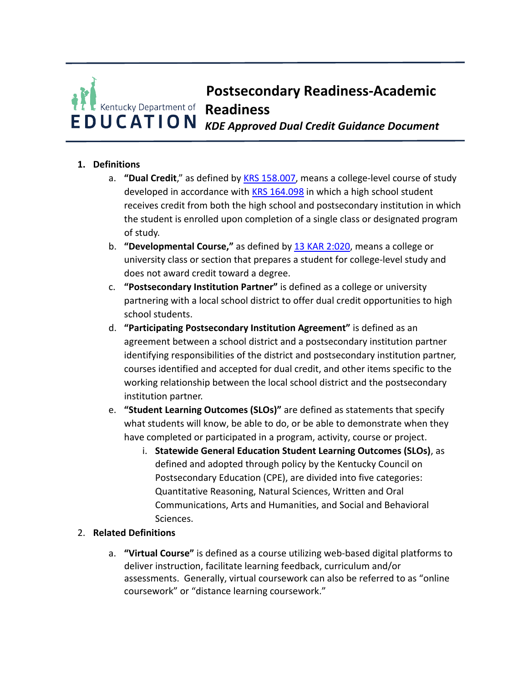# *KDE Approved Dual Credit Guidance Document* **Postsecondary Readiness-Academic Readiness**

## **1. Definitions**

- a. **"Dual Credit**," as defined by **KRS 158.007**, means a college-level course of study developed in accordance with KRS 164.098 in which a high school student receives credit from both the high school and postsecondary institution in which the student is enrolled upon completion of a single class or designated program of study.
- b. **"Developmental Course,"** as defined by **13 KAR 2:020**, means a college or university class or section that prepares a student for college-level study and does not award credit toward a degree.
- c. **"Postsecondary Institution Partner"** is defined as a college or university partnering with a local school district to offer dual credit opportunities to high school students.
- d. "Participating Postsecondary Institution Agreement" is defined as an agreement between a school district and a postsecondary institution partner identifying responsibilities of the district and postsecondary institution partner, courses identified and accepted for dual credit, and other items specific to the working relationship between the local school district and the postsecondary institution partner.
- e. **"Student Learning Outcomes (SLOs)"** are defined as statements that specify what students will know, be able to do, or be able to demonstrate when they have completed or participated in a program, activity, course or project.
	- **i. Statewide General Education Student Learning Outcomes (SLOs), as**  defined and adopted through policy by the Kentucky Council on Postsecondary Education (CPE), are divided into five categories: Quantitative Reasoning, Natural Sciences, Written and Oral Communications, Arts and Humanities, and Social and Behavioral Sciences.

### 2. **Related Definitions**

a. **"Virtual Course"** is defined as a course utilizing web-based digital platforms to deliver instruction, facilitate learning feedback, curriculum and/or assessments. Generally, virtual coursework can also be referred to as "online coursework" or "distance learning coursework."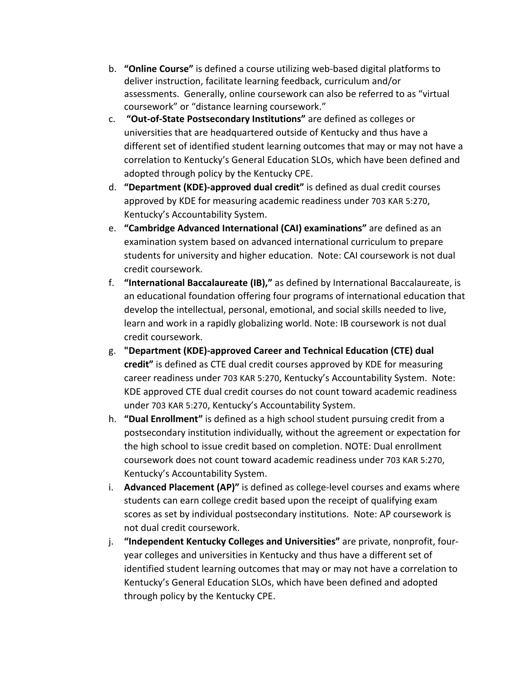- b. **"Online Course"** is defined a course utilizing web-based digital platforms to deliver instruction, facilitate learning feedback, curriculum and/or assessments. Generally, online coursework can also be referred to as "virtual coursework" or "distance learning coursework."
- c. **"Out-of-State Postsecondary Institutions"** are defined as colleges or universities that are headquartered outside of Kentucky and thus have a different set of identified student learning outcomes that may or may not have a correlation to Kentucky's General Education SLOs, which have been defined and adopted through policy by the Kentucky CPE.
- d. **"Department (KDE)-approved dual credit"** is defined as dual credit courses approved by KDE for measuring academic readiness under 703 KAR 5:270, Kentucky's Accountability System.
- e. **"Cambridge Advanced International (CAI) examinations"** are defined as an examination system based on advanced international curriculum to prepare students for university and higher education. Note: CAI coursework is not dual credit coursework.
- f. **"International Baccalaureate (IB),"** as defined by International Baccalaureate, is an educational foundation offering four programs of international education that develop the intellectual, personal, emotional, and social skills needed to live, learn and work in a rapidly globalizing world. Note: IB coursework is not dual credit coursework.
- credit" is defined as CTE dual credit courses approved by KDE for measuring career readiness under 703 KAR 5:270, Kentucky's Accountability System. Note: KDE approved CTE dual credit courses do not count toward academic readiness under 703 KAR 5:270, Kentucky's Accountability System. g. "Department (KDE)-approved Career and Technical Education (CTE) dual
- h. "Dual Enrollment" is defined as a high school student pursuing credit from a postsecondary institution individually, without the agreement or expectation for the high school to issue credit based on completion. NOTE: Dual enrollment coursework does not count toward academic readiness under 703 KAR 5:270, Kentucky's Accountability System.
- i. **Advanced Placement (AP)"** is defined as college-level courses and exams where students can earn college credit based upon the receipt of qualifying exam scores as set by individual postsecondary institutions. Note: AP coursework is not dual credit coursework.
- *i.* **"Independent Kentucky Colleges and Universities" are private, nonprofit, four**year colleges and universities in Kentucky and thus have a different set of identified student learning outcomes that may or may not have a correlation to Kentucky's General Education SLOs, which have been defined and adopted through policy by the Kentucky CPE.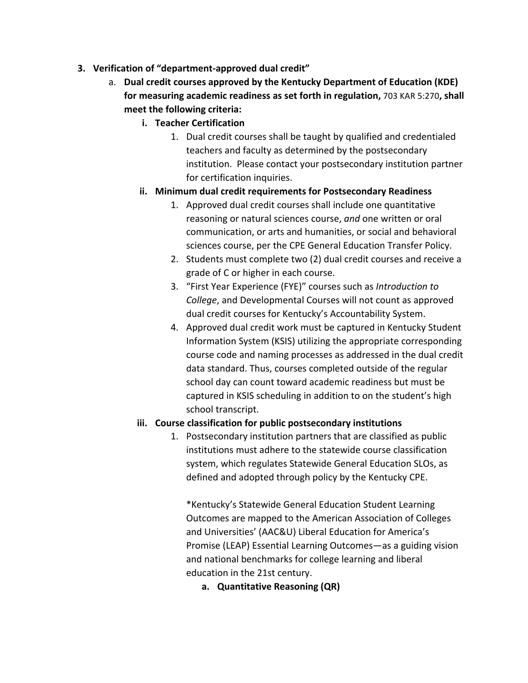- **3.** Verification of "department-approved dual credit"
	- a. **Dual credit courses approved by the Kentucky Department of Education (KDE)** for measuring academic readiness as set forth in regulation, 703 KAR 5:270, shall **meet the following criteria:** 
		- **i. Teacher Certification**
			- 1. Dual credit courses shall be taught by qualified and credentialed teachers and faculty as determined by the postsecondary institution. Please contact your postsecondary institution partner for certification inquiries.
		- **ii. Minimum dual credit requirements for Postsecondary Readiness**
			- 1. Approved dual credit courses shall include one quantitative reasoning or natural sciences course, and one written or oral communication, or arts and humanities, or social and behavioral sciences course, per the CPE General Education Transfer Policy.
			- 2. Students must complete two (2) dual credit courses and receive a grade of C or higher in each course.
			- 3. "First Year Experience (FYE)" courses such as *Introduction to* College, and Developmental Courses will not count as approved dual credit courses for Kentucky's Accountability System.
			- 4. Approved dual credit work must be captured in Kentucky Student Information System (KSIS) utilizing the appropriate corresponding course code and naming processes as addressed in the dual credit data standard. Thus, courses completed outside of the regular school day can count toward academic readiness but must be captured in KSIS scheduling in addition to on the student's high school transcript.

### **iii.** Course classification for public postsecondary institutions

1. Postsecondary institution partners that are classified as public institutions must adhere to the statewide course classification system, which regulates Statewide General Education SLOs, as defined and adopted through policy by the Kentucky CPE. 

 \*Kentucky's Statewide General Education Student Learning Outcomes are mapped to the American Association of Colleges and Universities' (AAC&U) Liberal Education for America's Promise (LEAP) Essential Learning Outcomes-as a guiding vision and national benchmarks for college learning and liberal education in the 21st century.

 **a. Quantitative Reasoning (QR)**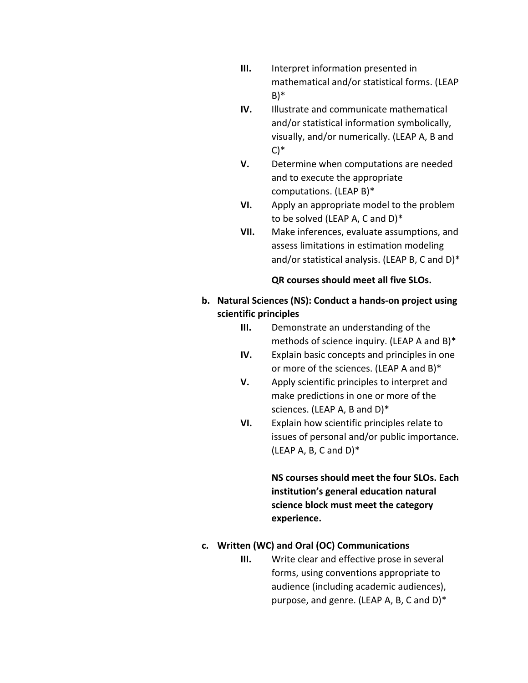- **III.** Interpret information presented in mathematical and/or statistical forms. (LEAP B)\*
- **IV.** Illustrate and communicate mathematical and/or statistical information symbolically, visually, and/or numerically. (LEAP A, B and C)\*
- **V.** Determine when computations are needed and to execute the appropriate computations. (LEAP B)\*
- **VI.** Apply an appropriate model to the problem to be solved (LEAP A, C and D)\*
- **VII.** Make inferences, evaluate assumptions, and assess limitations in estimation modeling and/or statistical analysis. (LEAP B, C and D)\*

## **QR courses should meet all five SLOs.**

- **b.** Natural Sciences (NS): Conduct a hands-on project using **scientific principles**
	- **III.** Demonstrate an understanding of the methods of science inquiry. (LEAP A and B)\*
	- **IV.** Explain basic concepts and principles in one or more of the sciences. (LEAP A and B)\*
	- **V.** Apply scientific principles to interpret and make predictions in one or more of the sciences. (LEAP A, B and D)\*
	- **VI.** Explain how scientific principles relate to issues of personal and/or public importance. (LEAP A, B, C and  $D$ )\*

 **science block must meet the category NS courses should meet the four SLOs. Each institution's general education natural experience.**

# **c. Written (WC) and Oral (OC) Communications**

 **III.** Write clear and effective prose in several forms, using conventions appropriate to audience (including academic audiences), purpose, and genre. (LEAP A, B, C and D)\*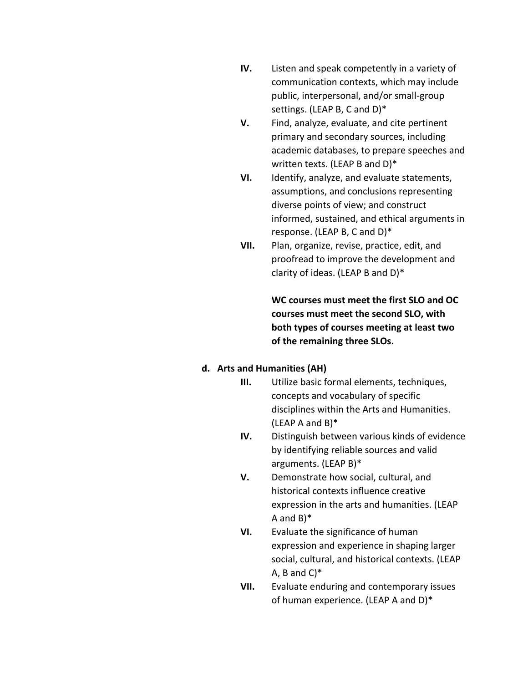- **IV.** Listen and speak competently in a variety of communication contexts, which may include public, interpersonal, and/or small-group settings. (LEAP B, C and D)\*
- **V.** Find, analyze, evaluate, and cite pertinent primary and secondary sources, including academic databases, to prepare speeches and written texts. (LEAP B and D)\*
- **VI.** Identify, analyze, and evaluate statements, assumptions, and conclusions representing diverse points of view; and construct informed, sustained, and ethical arguments in response. (LEAP B, C and D)\*
- **VII.** Plan, organize, revise, practice, edit, and proofread to improve the development and clarity of ideas. (LEAP B and D)\*

 **of the remaining three SLOs.** WC courses must meet the first SLO and OC courses must meet the second SLO, with **both types of courses meeting at least two** 

#### **d. Arts and Humanities (AH)**

- **III.** Utilize basic formal elements, techniques, concepts and vocabulary of specific disciplines within the Arts and Humanities. (LEAP A and B)\*
- **IV.** Distinguish between various kinds of evidence by identifying reliable sources and valid arguments. (LEAP B)\*
- **V.** Demonstrate how social, cultural, and historical contexts influence creative expression in the arts and humanities. (LEAP A and B)\*
- **VI.** Evaluate the significance of human expression and experience in shaping larger social, cultural, and historical contexts. (LEAP A, B and  $C$ <sup>\*</sup>
- **VII.** Evaluate enduring and contemporary issues of human experience. (LEAP A and D)\*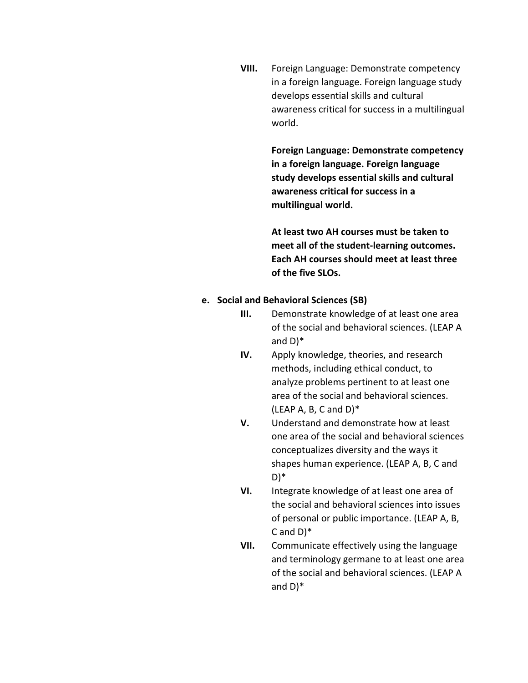**VIII.** Foreign Language: Demonstrate competency in a foreign language. Foreign language study develops essential skills and cultural awareness critical for success in a multilingual world.

> **Foreign Language: Demonstrate competency in a foreign language. Foreign language study develops essential skills and cultural** awareness critical for success in a **multilingual world.**

 **At least two AH courses must be taken to meet all of the student-learning outcomes. Each AH courses should meet at least three of the five SLOs.**

#### **e.** Social and Behavioral Sciences (SB)

- **III.** Demonstrate knowledge of at least one area of the social and behavioral sciences. (LEAP A and D)\*
- **IV.** Apply knowledge, theories, and research methods, including ethical conduct, to analyze problems pertinent to at least one area of the social and behavioral sciences.  $(LEAP A, B, C and D)^*$
- **V.** Understand and demonstrate how at least one area of the social and behavioral sciences conceptualizes diversity and the ways it shapes human experience. (LEAP A, B, C and D)\*
- **VI.** Integrate knowledge of at least one area of the social and behavioral sciences into issues of personal or public importance. (LEAP A, B, C and D)\*
- **VII.** Communicate effectively using the language and terminology germane to at least one area of the social and behavioral sciences. (LEAP A and D)\*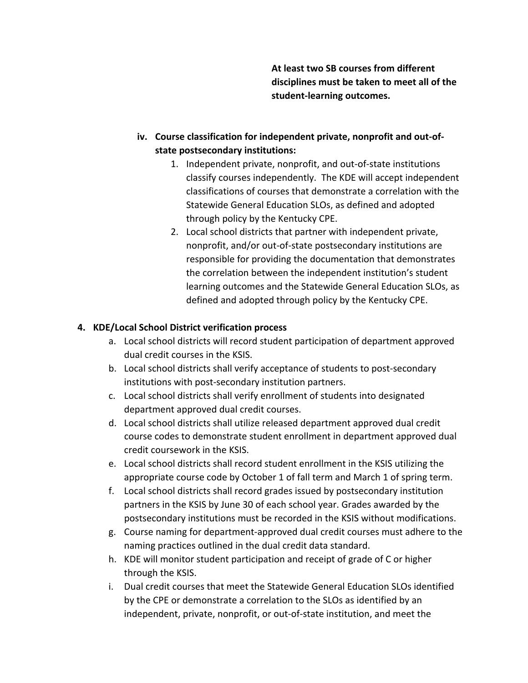**At least two SB courses from different disciplines must be taken to meet all of the student-learning outcomes.**

- iv. Course classification for independent private, nonprofit and out-ofstate postsecondary institutions:
	- 1. Independent private, nonprofit, and out-of-state institutions classify courses independently. The KDE will accept independent classifications of courses that demonstrate a correlation with the Statewide General Education SLOs, as defined and adopted through policy by the Kentucky CPE.
	- 2. Local school districts that partner with independent private, nonprofit, and/or out-of-state postsecondary institutions are responsible for providing the documentation that demonstrates the correlation between the independent institution's student learning outcomes and the Statewide General Education SLOs, as defined and adopted through policy by the Kentucky CPE.

# **4. KDE/Local School District verification process**

- a. Local school districts will record student participation of department approved dual credit courses in the KSIS.
- b. Local school districts shall verify acceptance of students to post-secondary institutions with post-secondary institution partners.
- c. Local school districts shall verify enrollment of students into designated department approved dual credit courses.
- d. Local school districts shall utilize released department approved dual credit course codes to demonstrate student enrollment in department approved dual credit coursework in the KSIS.
- e. Local school districts shall record student enrollment in the KSIS utilizing the appropriate course code by October 1 of fall term and March 1 of spring term.
- f. Local school districts shall record grades issued by postsecondary institution partners in the KSIS by June 30 of each school year. Grades awarded by the postsecondary institutions must be recorded in the KSIS without modifications.
- g. Course naming for department-approved dual credit courses must adhere to the naming practices outlined in the dual credit data standard.
- h. KDE will monitor student participation and receipt of grade of C or higher through the KSIS.
- i. Dual credit courses that meet the Statewide General Education SLOs identified by the CPE or demonstrate a correlation to the SLOs as identified by an independent, private, nonprofit, or out-of-state institution, and meet the